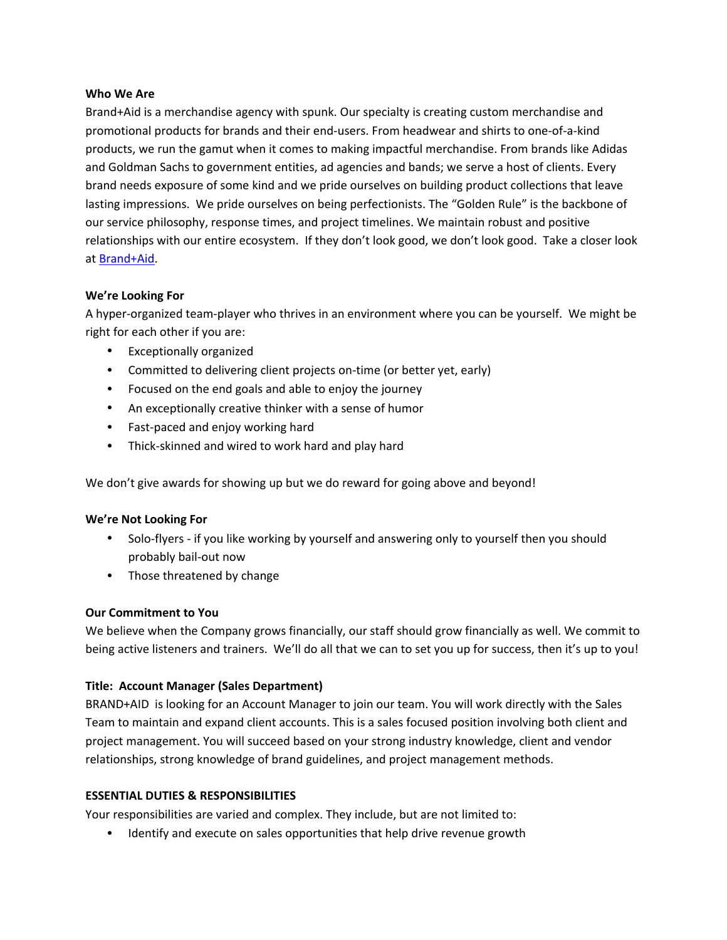#### **Who We Are**

Brand+Aid is a merchandise agency with spunk. Our specialty is creating custom merchandise and promotional products for brands and their end‐users. From headwear and shirts to one‐of‐a‐kind products, we run the gamut when it comes to making impactful merchandise. From brands like Adidas and Goldman Sachs to government entities, ad agencies and bands; we serve a host of clients. Every brand needs exposure of some kind and we pride ourselves on building product collections that leave lasting impressions. We pride ourselves on being perfectionists. The "Golden Rule" is the backbone of our service philosophy, response times, and project timelines. We maintain robust and positive relationships with our entire ecosystem. If they don't look good, we don't look good. Take a closer look at Brand+Aid.

#### **We're Looking For**

A hyper‐organized team‐player who thrives in an environment where you can be yourself. We might be right for each other if you are:

- Exceptionally organized
- Committed to delivering client projects on-time (or better yet, early)
- Focused on the end goals and able to enjoy the journey
- An exceptionally creative thinker with a sense of humor
- Fast-paced and enjoy working hard
- Thick‐skinned and wired to work hard and play hard

We don't give awards for showing up but we do reward for going above and beyond!

## **We're Not Looking For**

- Solo-flyers if you like working by yourself and answering only to yourself then you should probably bail‐out now
- Those threatened by change

## **Our Commitment to You**

We believe when the Company grows financially, our staff should grow financially as well. We commit to being active listeners and trainers. We'll do all that we can to set you up for success, then it's up to you!

## **Title: Account Manager (Sales Department)**

BRAND+AID is looking for an Account Manager to join our team. You will work directly with the Sales Team to maintain and expand client accounts. This is a sales focused position involving both client and project management. You will succeed based on your strong industry knowledge, client and vendor relationships, strong knowledge of brand guidelines, and project management methods.

## **ESSENTIAL DUTIES & RESPONSIBILITIES**

Your responsibilities are varied and complex. They include, but are not limited to:

Identify and execute on sales opportunities that help drive revenue growth